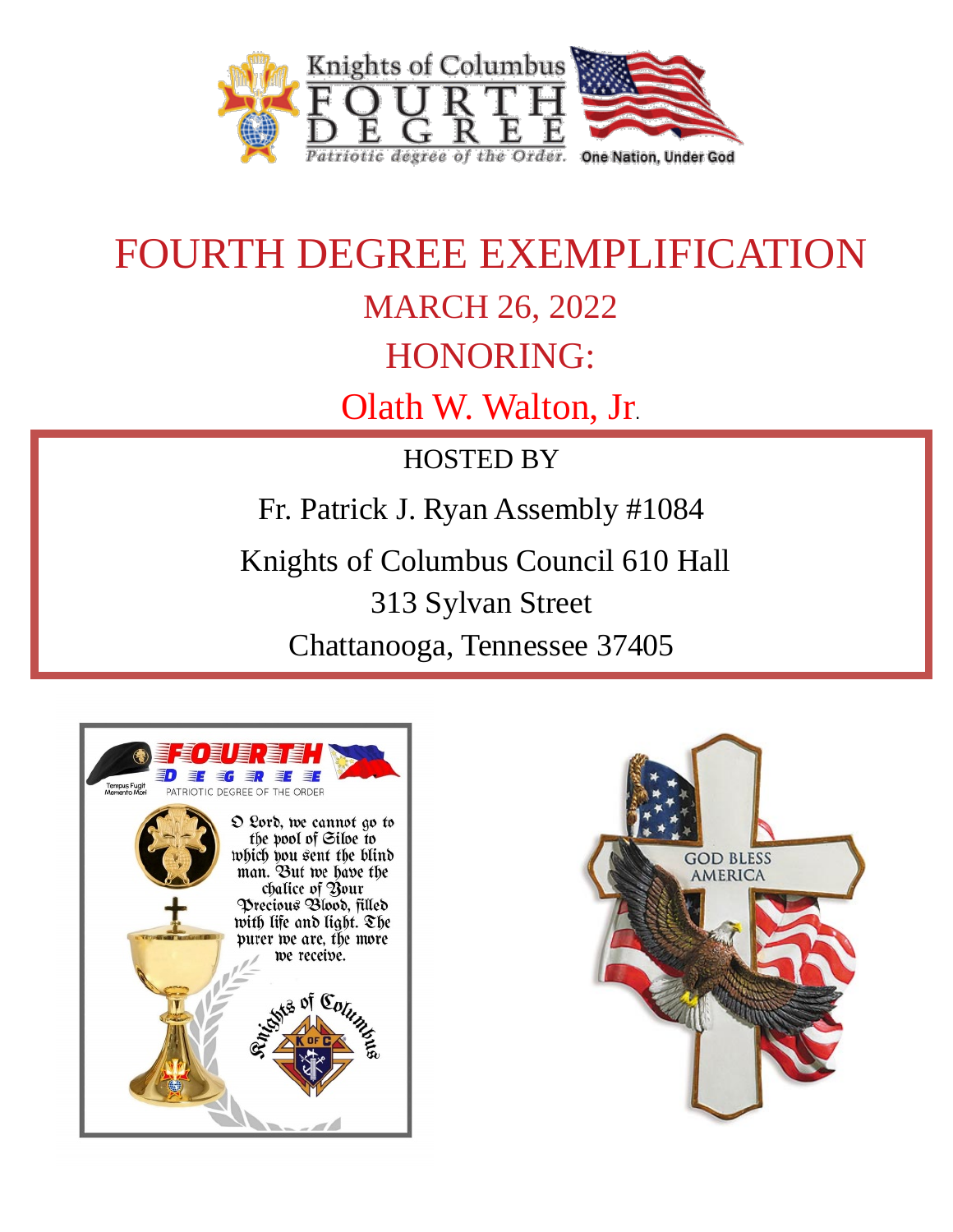

# FOURTH DEGREE EXEMPLIFICATION MARCH 26, 2022 HONORING: Olath W. Walton, Jr.

HOSTED BY

Fr. Patrick J. Ryan Assembly #1084

Knights of Columbus Council 610 Hall

313 Sylvan Street

Chattanooga, Tennessee 37405



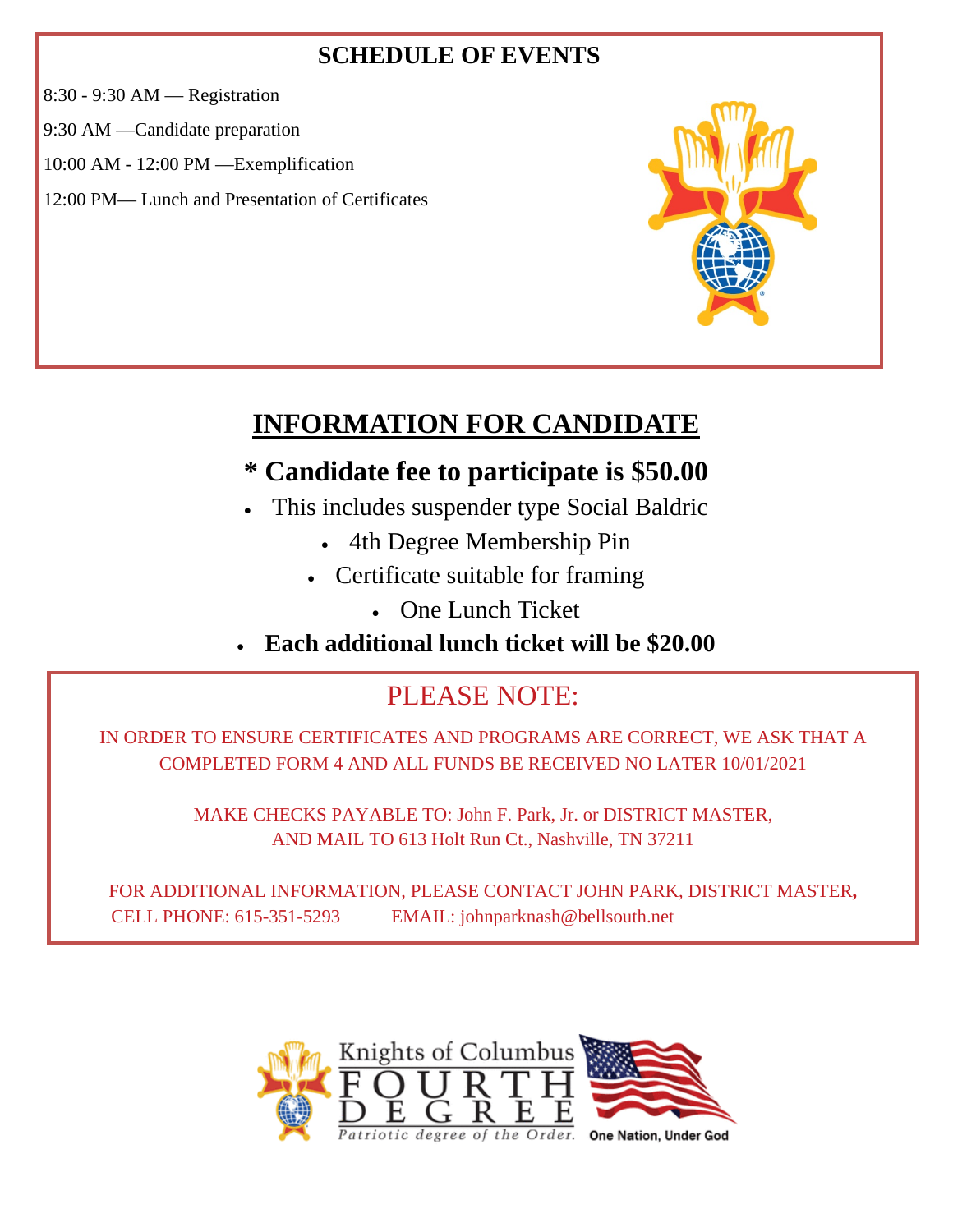### **SCHEDULE OF EVENTS**

8:30 - 9:30 AM — Registration

9:30 AM —Candidate preparation

10:00 AM - 12:00 PM —Exemplification

12:00 PM— Lunch and Presentation of Certificates



### **INFORMATION FOR CANDIDATE**

### **\* Candidate fee to participate is \$50.00**

- This includes suspender type Social Baldric
	- 4th Degree Membership Pin
	- Certificate suitable for framing
		- One Lunch Ticket
- **Each additional lunch ticket will be \$20.00**

### PLEASE NOTE:

IN ORDER TO ENSURE CERTIFICATES AND PROGRAMS ARE CORRECT, WE ASK THAT A COMPLETED FORM 4 AND ALL FUNDS BE RECEIVED NO LATER 10/01/2021

> MAKE CHECKS PAYABLE TO: John F. Park, Jr. or DISTRICT MASTER, AND MAIL TO 613 Holt Run Ct., Nashville, TN 37211

FOR ADDITIONAL INFORMATION, PLEASE CONTACT JOHN PARK, DISTRICT MASTER**,**  CELL PHONE: 615-351-5293 EMAIL: johnparknash@bellsouth.net

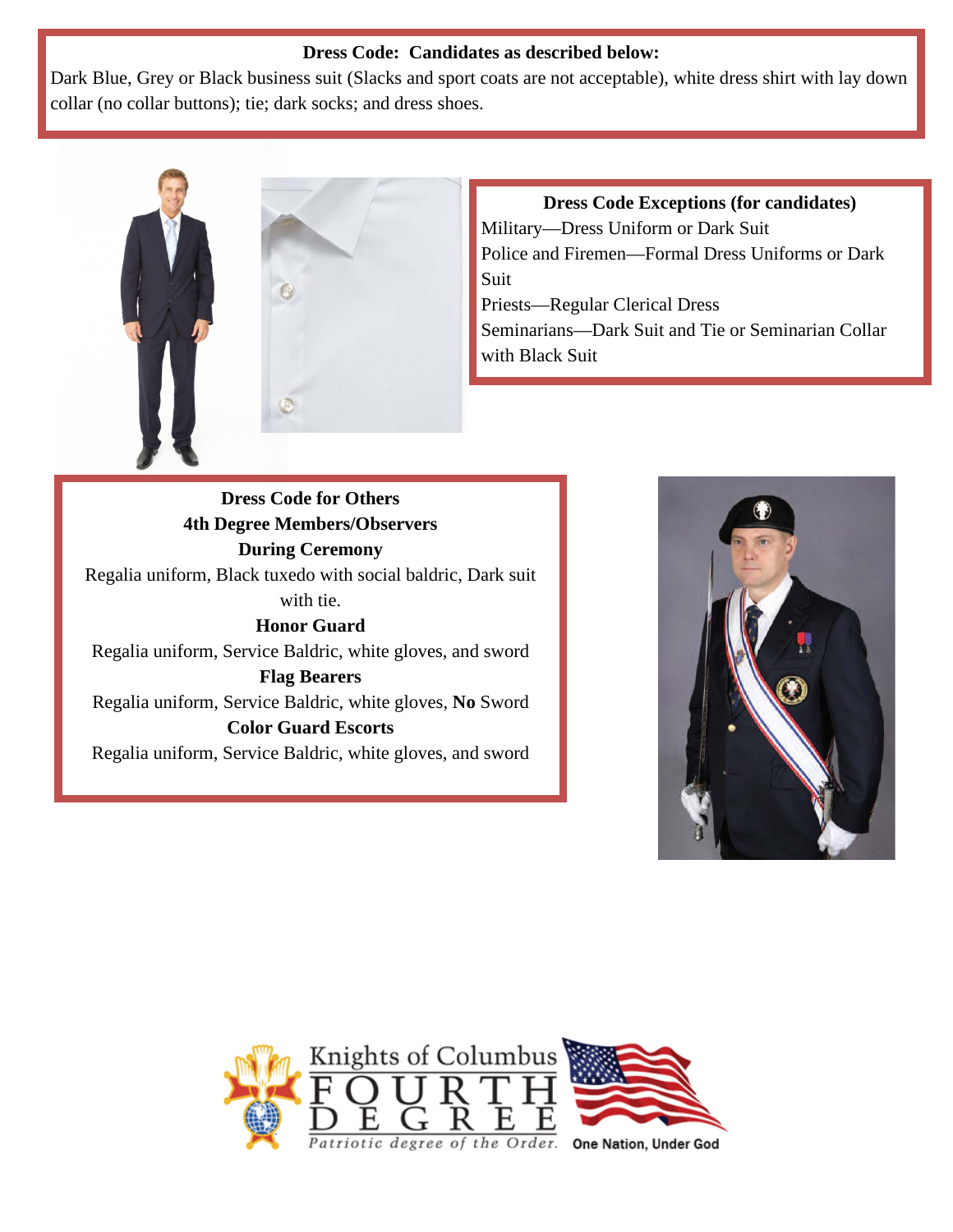#### **Dress Code: Candidates as described below:**

Dark Blue, Grey or Black business suit (Slacks and sport coats are not acceptable), white dress shirt with lay down collar (no collar buttons); tie; dark socks; and dress shoes.



**Dress Code Exceptions (for candidates)** Military—Dress Uniform or Dark Suit Police and Firemen—Formal Dress Uniforms or Dark Suit Priests—Regular Clerical Dress Seminarians—Dark Suit and Tie or Seminarian Collar with Black Suit

**Dress Code for Others 4th Degree Members/Observers During Ceremony** Regalia uniform, Black tuxedo with social baldric, Dark suit with tie. **Honor Guard** Regalia uniform, Service Baldric, white gloves, and sword **Flag Bearers** Regalia uniform, Service Baldric, white gloves, **No** Sword **Color Guard Escorts** Regalia uniform, Service Baldric, white gloves, and sword